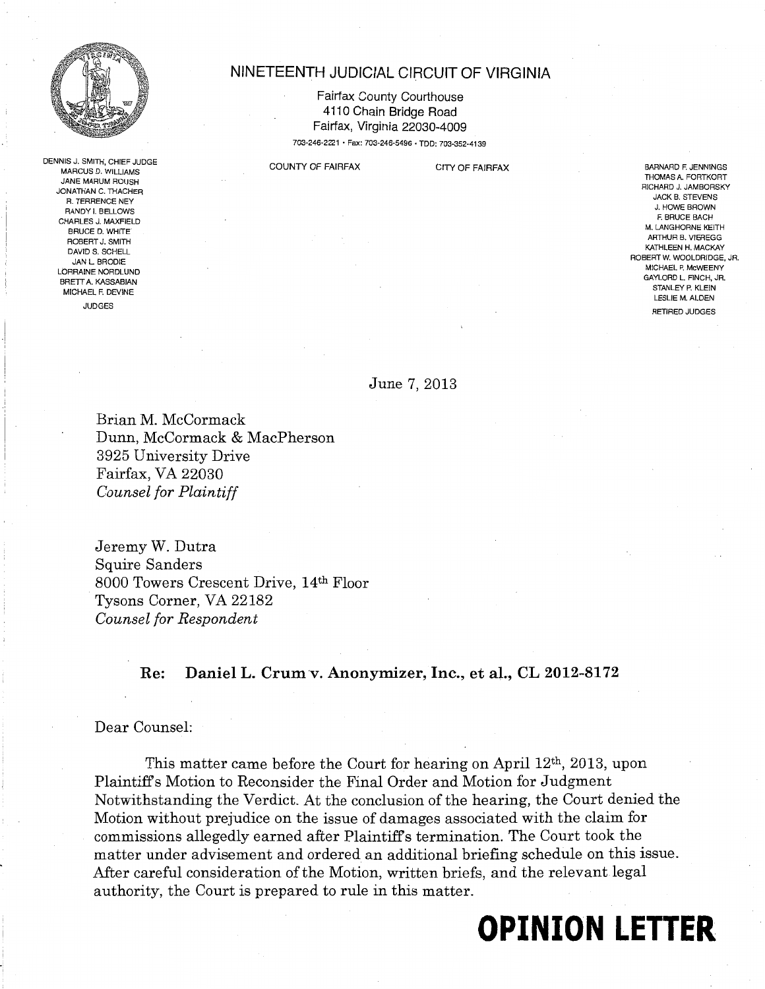

DENNIS J. SMITH, CHIEF JUDGE MARCUS D. WILLIAMS JANE MARUM ROUSH JONATHAN C. THACHER R. TERRENCE NEY RANDY I. BELLOWS CHARLES J. MAXFIELD BRUCE D. WHITE ROBERT J. SMITH DAVID S. SCHELL JAN L BRODIE LORRAINE NORDLUND BRETT A. KASSABIAN MICHAEL F. DEVINE JUDGES

# NINETEENTH JUDICIAL CIRCUIT OF VIRGINIA

Fairfax County Courthouse 4110 Chain Bridge Road Fairfax, Virginia 22030-4009 703-246-2221 • Fax: 703-246-5496 • TDD: 703-352-4139

COUNTY OF FAIRFAX CITY OF FAIRFAX

BARNARD F. JENNINGS THOMAS A. FORTKORT RICHARD J. JAMBORSKY JACK B. STEVENS J. HOWE BROWN F. BRUCE BACH M. LANGHORNE KEITH ARTHUR B. VIEREGG KATHLEEN H. MACKAY ROBERT W. WOOLDRIDGE, JR. MICHAEL P. McWEENY GAYLORD L. FINCH, JR. STANLEY P. KLEIN LESLIE M. ALDEN RETIRED JUDGES

June 7, 2013

Brian M. McCormack Dunn, McCormack & MacPherson 3925 University Drive Fairfax, VA 22030 *Counsel for Plaintiff* 

Jeremy W. Dutra Squire Sanders 8000 Towers Crescent Drive, 14th Floor Tysons Corner, VA 22182 *Counsel for Respondent* 

### Re: DanielL. Crumv. Anonymizer, Inc., et al., CL 2012-8172

#### Dear Counsel:

This matter came before the Court for hearing on April 12th, 2013, upon Plaintiffs Motion to Reconsider the Final Order and Motion for Judgment Notwithstanding the Verdict. At the conclusion of the hearing, the Court denied the Motion without prejudice on the issue of damages associated with the claim for commissions allegedly earned after Plaintiffs termination. The Court took the matter under advisement and ordered an additional briefing schedule on this issue. After careful consideration of the Motion, written briefs, and the relevant legal authority, the Court is prepared to rule in this matter.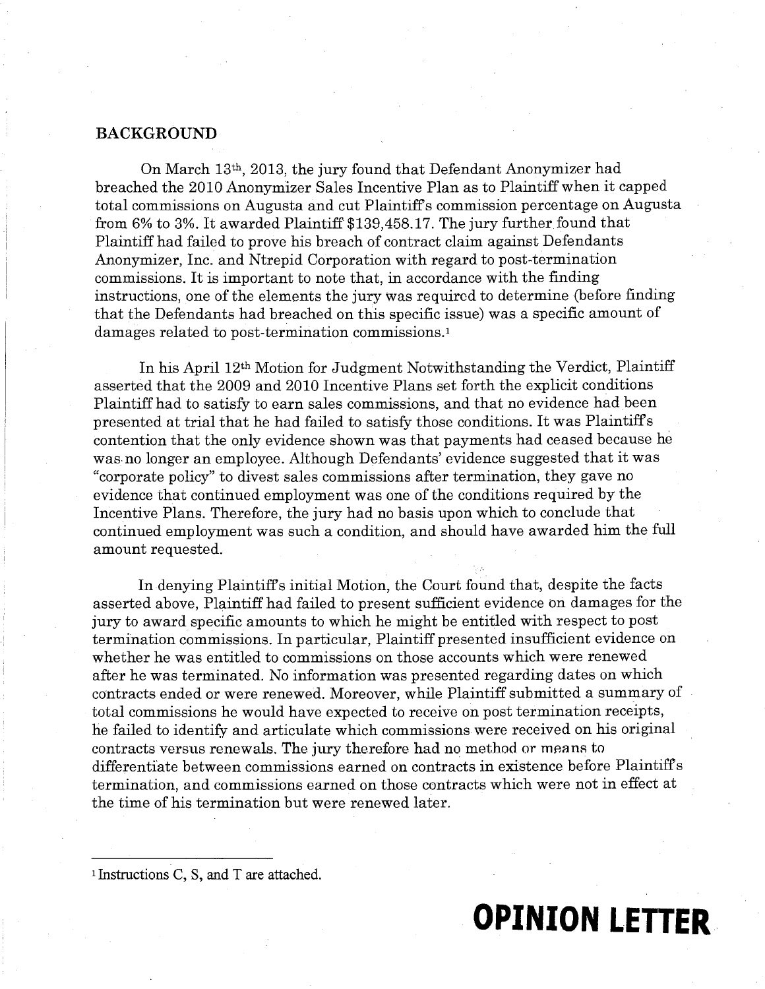# **BACKGROUND**

On March 13th, 2013, the jury found that Defendant Anonymizer had breached the 2010 Anonymizer Sales Incentive Plan as to Plaintiff when it capped total commissions on Augusta and cut Plaintiffs commission percentage on Augusta from  $6\%$  to  $3\%$ . It awarded Plaintiff \$139,458.17. The jury further found that Plaintiff had failed to prove his breach of contract claim against Defendants Anonymizer, Inc. and Ntrepid Corporation with regard to post-termination commissions. It is important to note that, in accordance with the finding instructions, one of the elements the jury was required to determine (before finding that the Defendants had breached on this specific issue) was a specific amount of damages related to post-termination commissions. <sup>1</sup>

In his April 12th Motion for Judgment Notwithstanding the Verdict, Plaintiff asserted that the 2009 and 2010 Incentive Plans set forth the explicit conditions Plaintiff had to satisfy to earn sales commissions, and that no evidence had been presented at trial that he had failed to satisfy those conditions. It was Plaintiffs contention that the only evidence shown was that payments had ceased because he was. no longer an employee. Although Defendants' evidence suggested that it was "corporate policy" to divest sales commissions after termination, they gave no evidence that continued employment was one of the conditions required by the Incentive Plans. Therefore, the jury had no basis upon which to conclude that continued employment was such a condition, and should have awarded him the full amount requested.

In denying Plaintiffs initial Motion, the Court found that, despite the facts asserted above, Plaintiff had failed to present sufficient evidence on damages for the jury to award specific amounts to which he might be entitled with respect to post termination commissions. In particular, Plaintiff presented insufficient evidence on whether he was entitled to commissions on those accounts which were renewed after he was terminated. No information was presented regarding dates on which contracts ended or were renewed. Moreover, while Plaintiff submitted a summary of total commissions he would have expected to receive on post termination receipts, he failed to identify and articulate which commissions were received on his original contracts versus renewals. The jury therefore had no method or means to differentiate between commissions earned on contracts in existence before Plaintiffs termination, and commissions earned on those contracts which were not in effect at the time of his termination but were renewed later.

**OPINION LETTER.** 

<sup>1</sup>Instructions C, S, and T are attached.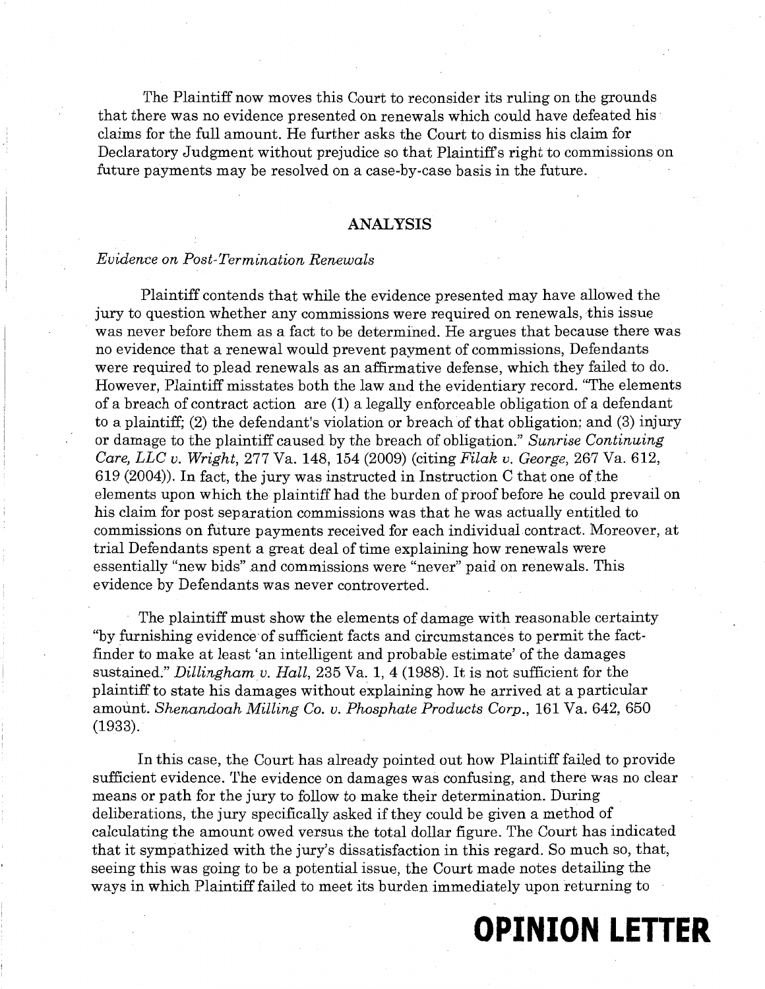The Plaintiff now moves this Court to reconsider its ruling on the grounds that there was no evidence presented on renewals which could have defeated his· claims for the full amount. He further asks the Court to dismiss his claim for Declaratory Judgment without prejudice so that Plaintiffs right to commissions on future payments may be resolved on a case-by-case basis in the future.

### ANALYSIS

#### *Evidence on Post-Termination Renewals*

Plaintiff contends that while the evidence presented may have allowed the jury to question whether any commissions were required on renewals, this issue was never before them as a fact to be determined. He argues that because there was no evidence that a renewal would prevent payment of commissions, Defendants were required to plead renewals as an affirmative defense, which they failed to do. However, Plaintiff misstates both the law and the evidentiary record. "The elements of a breach of contract action are (1) a legally enforceable obligation of a defendant to a plaintiff; (2) the defendant's violation or breach of that obligation; and (3) injury or damage to the plaintiff caused by the breach of obligation." *Sunrise Continuing Care, LLC v. Wright,* 277 Va. 148, 154 (2009) (citing *Filak v. George,* 267 Va. 612, 619 (2004)). In fact, the jury was instructed in Instruction C that one of the elements upon which the plaintiff had the burden of proof before he could prevail on his claim for post separation commissions was that he was actually entitled to commissions on future payments received for each individual contract. Moreover, at trial Defendants spent a great deal of time explaining how renewals were essentially "new bids" and commissions were "never" paid on renewals. This evidence by Defendants was never controverted.

The plaintiff must show the elements of damage with reasonable certainty "by furnishing evidence of sufficient facts and circumstances to permit the factfinder to make at least 'an intelligent and probable estimate' of the damages sustained;" *Dillingham v. Hall,* 235 Va. 1, 4 (1988). It is not sufficient for the plaintiff to state his damages without explaining how he arrived at a particular amount. *Shenandoah Milling* Co. *v. Phosphate Products Corp.,* 161 Va. 642, 650 (1933).

In this case, the Court has already pointed out how Plaintiff failed to provide sufficient evidence. The evidence on damages was confusing, and there was no clear means or path for the jury to follow to make their determination. During deliberations, the jury specifically asked if they could be given a method of calculating the amount owed versus the total dollar figure. The Court has indicated that it sympathized with the jury's dissatisfaction in this regard. So much so, that, seeing this was going to be a potential issue, the Court made notes detailing the ways in which Plaintiff failed to meet its burden immediately upon returning to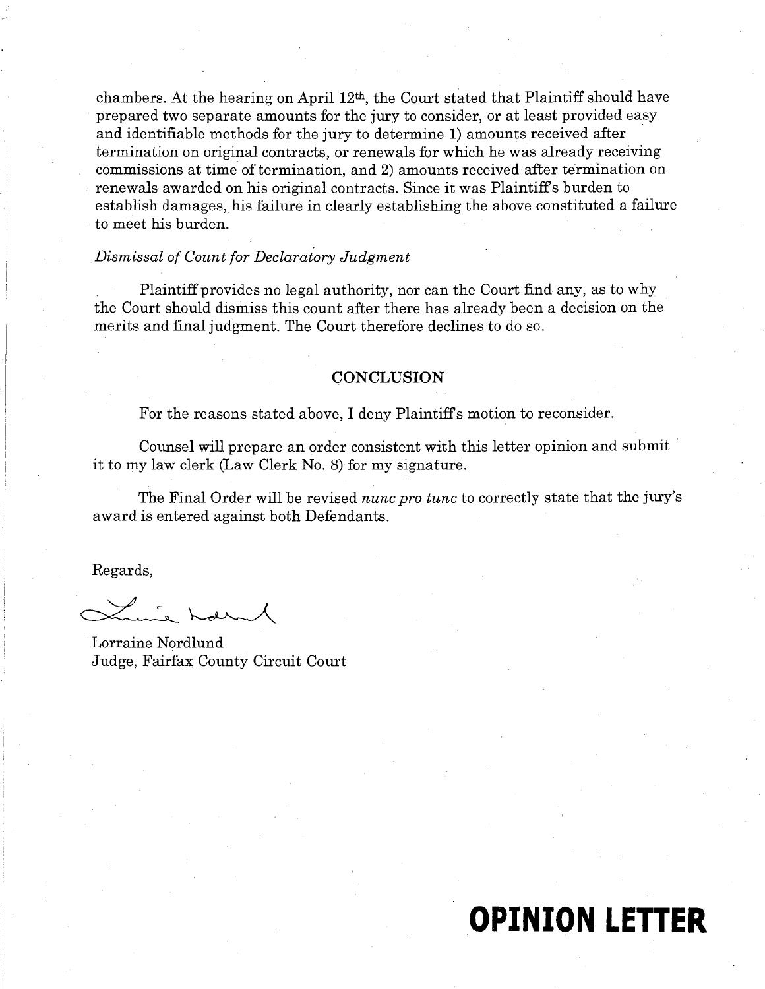chambers. At the hearing on April 12th, the Court stated that Plaintiff should have prepared two separate amounts for the jury to consider, or at least provided easy and identifiable methods for the jury to determine 1) amounts received after termination on original contracts, or renewals for which he was already receiving commissions at time of termination, and 2) amounts received after termination on renewals awarded on his original contracts. Since it was Plaintiff's burden to establish damages, his failure in clearly establishing the above constituted a failure to meet his burden.

# *Dismissal of Count for Declaratory Judgment*

Plaintiff provides no legal authority, nor can the Court find any, as to why the Court should dismiss this count after there has already been a decision on the merits and final judgment. The Court therefore declines to do so.

### **CONCLUSION**

For the reasons stated above, I deny Plaintiffs motion to reconsider.

Counsel will prepare an order consistent with this letter opinion and submit it to my law clerk (Law Clerk No. 8) for my signature.

The Final Order will be revised *nunc pro tunc* to correctly state that the jury's award is entered against both Defendants.

Regards,

Lorraine Nordlund Judge, Fairfax County Circuit Court